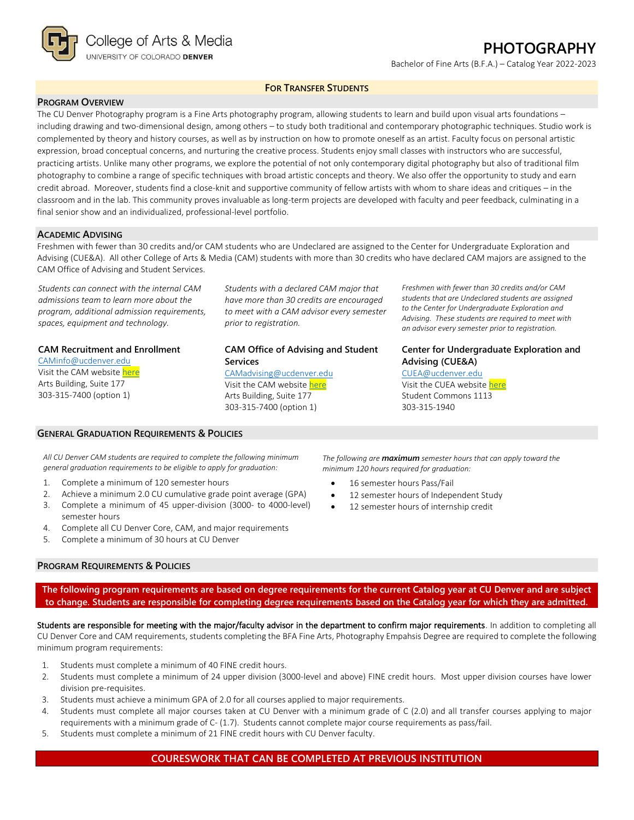

# **PHOTOGRAPHY**

Bachelor of Fine Arts (B.F.A.) – Catalog Year 2022-2023

### **FOR TRANSFER STUDENTS**

### **PROGRAM OVERVIEW**

The CU Denver Photography program is a Fine Arts photography program, allowing students to learn and build upon visual arts foundations – including drawing and two-dimensional design, among others – to study both traditional and contemporary photographic techniques. Studio work is complemented by theory and history courses, as well as by instruction on how to promote oneself as an artist. Faculty focus on personal artistic expression, broad conceptual concerns, and nurturing the creative process. Students enjoy small classes with instructors who are successful, practicing artists. Unlike many other programs, we explore the potential of not only contemporary digital photography but also of traditional film photography to combine a range of specific techniques with broad artistic concepts and theory. We also offer the opportunity to study and earn credit abroad. Moreover, students find a close-knit and supportive community of fellow artists with whom to share ideas and critiques – in the classroom and in the lab. This community proves invaluable as long-term projects are developed with faculty and peer feedback, culminating in a final senior show and an individualized, professional-level portfolio.

#### **ACADEMIC ADVISING**

Freshmen with fewer than 30 credits and/or CAM students who are Undeclared are assigned to the Center for Undergraduate Exploration and Advising (CUE&A). All other College of Arts & Media (CAM) students with more than 30 credits who have declared CAM majors are assigned to the CAM Office of Advising and Student Services.

*Students can connect with the internal CAM admissions team to learn more about the program, additional admission requirements, spaces, equipment and technology.*

#### **CAM Recruitment and Enrollment**

[CAMinfo@ucdenver.edu](mailto:CAMinfo@ucdenver.edu) Visit the CAM websit[e here](https://artsandmedia.ucdenver.edu/prospective-students/prospective-students) Arts Building, Suite 177 303-315-7400 (option 1)

*Students with a declared CAM major that have more than 30 credits are encouraged to meet with a CAM advisor every semester prior to registration.*

## **CAM Office of Advising and Student Services**

[CAMadvising@ucdenver.edu](mailto:CAMadvising@ucdenver.edu) Visit the CAM websit[e here](https://artsandmedia.ucdenver.edu/current-students/about-academic-advising) Arts Building, Suite 177 303-315-7400 (option 1)

*Freshmen with fewer than 30 credits and/or CAM students that are Undeclared students are assigned to the Center for Undergraduate Exploration and Advising. These students are required to meet with an advisor every semester prior to registration.*

## **Center for Undergraduate Exploration and Advising (CUE&A)**

#### [CUEA@ucdenver.edu](mailto:CUEA@ucdenver.edu)

Visit the CUEA websit[e here](https://www.ucdenver.edu/center-for-undergraduate-exploration-and-advising) Student Commons 1113 303-315-1940

*All CU Denver CAM students are required to complete the following minimum general graduation requirements to be eligible to apply for graduation:*

1. Complete a minimum of 120 semester hours

**GENERAL GRADUATION REQUIREMENTS & POLICIES**

- 2. Achieve a minimum 2.0 CU cumulative grade point average (GPA)
- 3. Complete a minimum of 45 upper-division (3000- to 4000-level)
- semester hours 4. Complete all CU Denver Core, CAM, and major requirements
- 5. Complete a minimum of 30 hours at CU Denver

#### **PROGRAM REQUIREMENTS & POLICIES**

*The following are maximum semester hours that can apply toward the minimum 120 hours required for graduation:*

- 16 semester hours Pass/Fail
- 12 semester hours of Independent Study
- 12 semester hours of internship credit

**The following program requirements are based on degree requirements for the current Catalog year at CU Denver and are subject to change. Students are responsible for completing degree requirements based on the Catalog year for which they are admitted.**

Students are responsible for meeting with the major/faculty advisor in the department to confirm major requirements. In addition to completing all CU Denver Core and CAM requirements, students completing the BFA Fine Arts, Photography Empahsis Degree are required to complete the following minimum program requirements:

- 1. Students must complete a minimum of 40 FINE credit hours.
- 2. Students must complete a minimum of 24 upper division (3000-level and above) FINE credit hours. Most upper division courses have lower division pre-requisites.
- 3. Students must achieve a minimum GPA of 2.0 for all courses applied to major requirements.
- 4. Students must complete all major courses taken at CU Denver with a minimum grade of C (2.0) and all transfer courses applying to major requirements with a minimum grade of C- (1.7). Students cannot complete major course requirements as pass/fail.
- 5. Students must complete a minimum of 21 FINE credit hours with CU Denver faculty.

## **COURESWORK THAT CAN BE COMPLETED AT PREVIOUS INSTITUTION**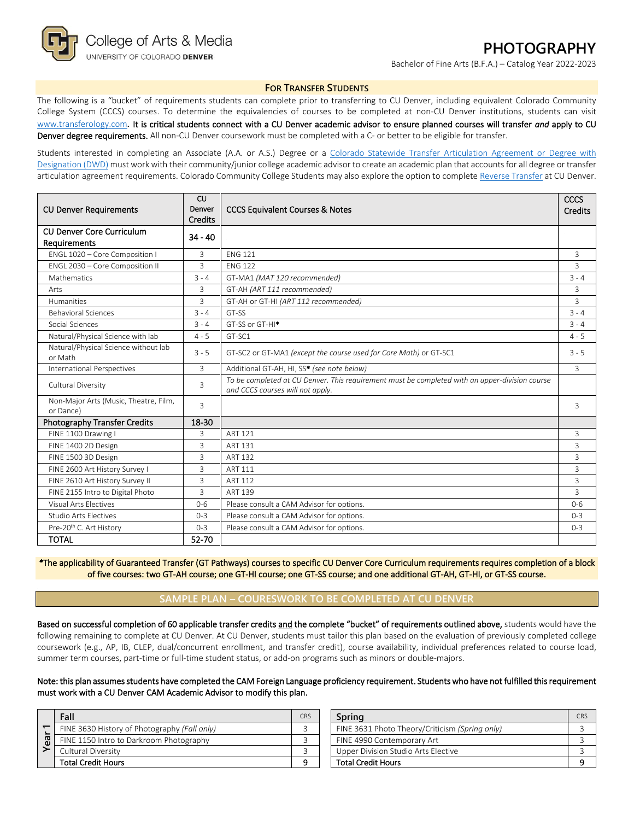

# **PHOTOGRAPHY**

Bachelor of Fine Arts (B.F.A.) – Catalog Year 2022-2023

#### **FOR TRANSFER STUDENTS**

The following is a "bucket" of requirements students can complete prior to transferring to CU Denver, including equivalent Colorado Community College System (CCCS) courses. To determine the equivalencies of courses to be completed at non-CU Denver institutions, students can visit [www.transferology.com](http://www.transferology.com/)**.** It is critical students connect with a CU Denver academic advisor to ensure planned courses will transfer *and* apply to CU Denver degree requirements. All non-CU Denver coursework must be completed with a C- or better to be eligible for transfer.

Students interested in completing an Associate (A.A. or A.S.) Degree or a Colorado Statewide Transfer Articulation Agreement or Degree with [Designation \(DWD\)](https://highered.colorado.gov/Academics/Transfers/TransferDegrees.html) must work with their community/junior college academic advisor to create an academic plan that accounts for all degree or transfer articulation agreement requirements. Colorado Community College Students may also explore the option to complet[e Reverse Transfer](https://degreewithinreach.wordpress.com/) at CU Denver.

| <b>CU Denver Requirements</b>                         | CU<br>Denver<br><b>CCCS Equivalent Courses &amp; Notes</b> |                                                                                                                                    | <b>CCCS</b><br><b>Credits</b> |
|-------------------------------------------------------|------------------------------------------------------------|------------------------------------------------------------------------------------------------------------------------------------|-------------------------------|
| <b>CU Denver Core Curriculum</b><br>Requirements      | <b>Credits</b><br>$34 - 40$                                |                                                                                                                                    |                               |
| ENGL 1020 - Core Composition I                        | 3                                                          | <b>FNG 121</b>                                                                                                                     | 3                             |
| ENGL 2030 - Core Composition II                       | $\overline{3}$                                             | <b>FNG 122</b>                                                                                                                     | $\mathbf{R}$                  |
| Mathematics                                           | $3 - 4$                                                    | GT-MA1 (MAT 120 recommended)                                                                                                       | $3 - 4$                       |
| Arts                                                  | 3                                                          | GT-AH (ART 111 recommended)                                                                                                        | 3                             |
| <b>Humanities</b>                                     | 3                                                          | GT-AH or GT-HI (ART 112 recommended)                                                                                               | 3                             |
| <b>Behavioral Sciences</b>                            | $3 - 4$                                                    | GT-SS                                                                                                                              | $3 - 4$                       |
| Social Sciences                                       | $3 - 4$                                                    | GT-SS or GT-HI <sup>*</sup>                                                                                                        | $3 - 4$                       |
| Natural/Physical Science with lab                     | $4 - 5$                                                    | GT-SC1                                                                                                                             | $4 - 5$                       |
| Natural/Physical Science without lab<br>or Math       | $3 - 5$                                                    | GT-SC2 or GT-MA1 (except the course used for Core Math) or GT-SC1                                                                  | $3 - 5$                       |
| International Perspectives                            | 3                                                          | Additional GT-AH, HI, SS* (see note below)                                                                                         | 3                             |
| Cultural Diversity                                    | 3                                                          | To be completed at CU Denver. This requirement must be completed with an upper-division course<br>and CCCS courses will not apply. |                               |
| Non-Major Arts (Music, Theatre, Film,<br>or Dance)    | $\overline{3}$                                             |                                                                                                                                    | 3                             |
| <b>Photography Transfer Credits</b>                   | 18-30                                                      |                                                                                                                                    |                               |
| FINE 1100 Drawing I                                   | 3                                                          | <b>ART 121</b>                                                                                                                     | 3                             |
| FINE 1400 2D Design                                   | 3                                                          | <b>ART 131</b>                                                                                                                     | 3                             |
| FINE 1500 3D Design                                   | 3                                                          | <b>ART 132</b>                                                                                                                     | 3                             |
| FINE 2600 Art History Survey I<br>3<br><b>ART 111</b> |                                                            |                                                                                                                                    | 3                             |
| 3<br>FINE 2610 Art History Survey II<br>ART 112       |                                                            |                                                                                                                                    | 3                             |
| FINE 2155 Intro to Digital Photo                      | 3<br><b>ART 139</b>                                        |                                                                                                                                    | 3                             |
| Visual Arts Flectives                                 | Please consult a CAM Advisor for options.<br>$0 - 6$       |                                                                                                                                    | $0 - 6$                       |
| <b>Studio Arts Electives</b>                          | $0 - 3$                                                    | Please consult a CAM Advisor for options.                                                                                          | $0 - 3$                       |
| Pre-20 <sup>th</sup> C. Art History                   | $0 - 3$                                                    | Please consult a CAM Advisor for options.                                                                                          | $0 - 3$                       |
| <b>TOTAL</b>                                          | 52-70                                                      |                                                                                                                                    |                               |

*\**The applicability of Guaranteed Transfer (GT Pathways) courses to specific CU Denver Core Curriculum requirements requires completion of a block of five courses: two GT-AH course; one GT-HI course; one GT-SS course; and one additional GT-AH, GT-HI, or GT-SS course.

### **SAMPLE PLAN – COURESWORK TO BE COMPLETED AT CU DENVER**

Based on successful completion of 60 applicable transfer credits and the complete "bucket" of requirements outlined above, students would have the following remaining to complete at CU Denver. At CU Denver, students must tailor this plan based on the evaluation of previously completed college coursework (e.g., AP, IB, CLEP, dual/concurrent enrollment, and transfer credit), course availability, individual preferences related to course load, summer term courses, part-time or full-time student status, or add-on programs such as minors or double-majors.

Note: this plan assumes students have completed the CAM Foreign Language proficiency requirement. Students who have not fulfilled this requirement must work with a CU Denver CAM Academic Advisor to modify this plan.

|    | Fall                                         | CRS | Sprina                                         | C <sub>RS</sub> |
|----|----------------------------------------------|-----|------------------------------------------------|-----------------|
|    | FINE 3630 History of Photography (Fall only) |     | FINE 3631 Photo Theory/Criticism (Spring only) |                 |
| සි | FINE 1150 Intro to Darkroom Photography      |     | FINE 4990 Contemporary Art                     |                 |
|    | Cultural Diversity                           |     | Upper Division Studio Arts Elective            |                 |
|    | <b>Total Credit Hours</b>                    |     | <b>Total Credit Hours</b>                      |                 |